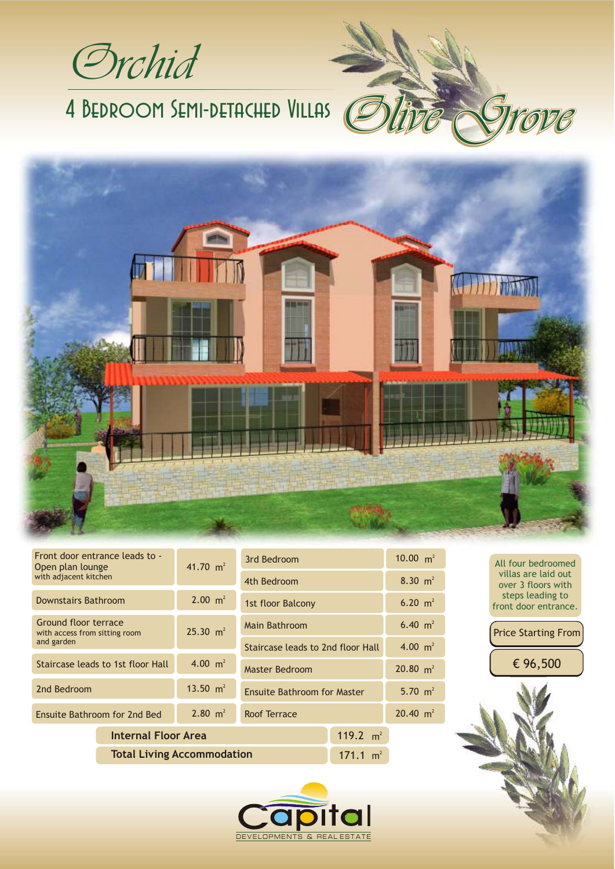Orchid

# 4 Bedroom Semi-detached Villas



| Front door entrance leads to -<br>Open plan lounge<br>with adjacent kitchen | 41.70 $m^2$        | 3rd Bedroom                        |             | 10.00 $m^2$ |
|-----------------------------------------------------------------------------|--------------------|------------------------------------|-------------|-------------|
|                                                                             |                    | 4th Bedroom                        |             | 8.30 $m2$   |
| <b>Downstairs Bathroom</b>                                                  | $2.00 \text{ m}^2$ | 1st floor Balcony                  |             | 6.20 $m2$   |
| Ground floor terrace<br>with access from sitting room<br>and garden         | 25.30 $m2$         | Main Bathroom                      |             | 6.40 $m2$   |
|                                                                             |                    | Staircase leads to 2nd floor Hall  |             | 4.00 $m2$   |
| Staircase leads to 1st floor Hall                                           | 4.00 $m^2$         | <b>Master Bedroom</b>              |             | 20.80 $m2$  |
| 13.50 $m2$<br>2nd Bedroom                                                   |                    | <b>Ensuite Bathroom for Master</b> |             | 5.70 $m2$   |
| $2.80 \text{ m}^2$<br>Ensuite Bathroom for 2nd Bed                          |                    | Roof Terrace                       |             | 20.40 $m2$  |
| <b>Internal Floor Area</b>                                                  |                    |                                    | 119.2 $m^2$ |             |
| <b>Total Living Accommodation</b>                                           |                    |                                    | 171.1 $m^2$ |             |

6.40  $m<sup>2</sup>$ 20.80  $m^2$  $\text{floor}$  Hall  $\frac{4.00 \text{ m}^2}{ }$ 

All four bedroomed villas are laid out over 3 floors with steps leading to front door entrance.

Price Starting From